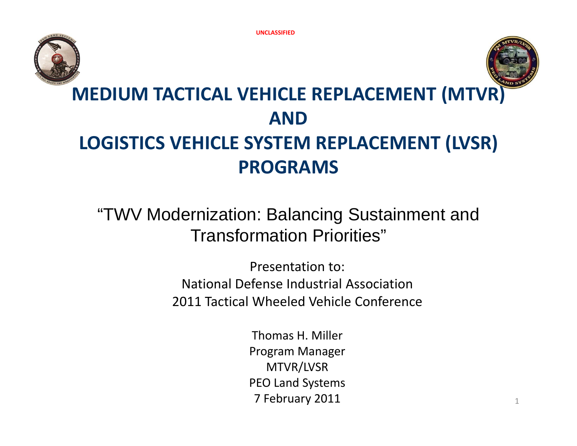



# **MEDIUM TACTICAL VEHICLE REPLACEMENT (MTVR) ANDLOGISTICS VEHICLE SYSTEM REPLACEMENT (LVSR) PROGRAMS**

"TWV Modernization: Balancing Sustainment and Transformation Priorities"

> Presentation to: National Defense Industrial Association2011 Tactical Wheeled Vehicle Conference

> > Thomas H. Miller Program Manager MTVR/LVSR PEO Land Systems **7 February 2011**  $\frac{1}{1}$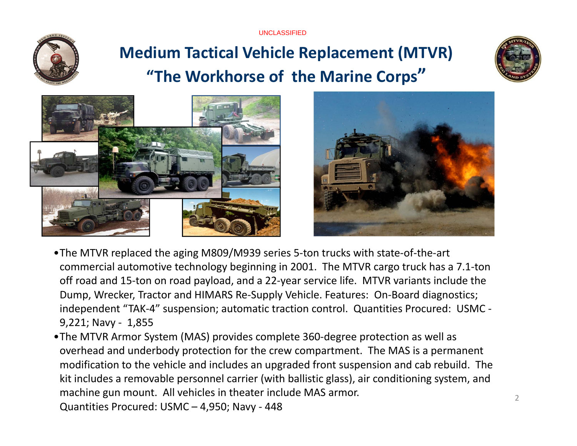UNCLASSIFIED



# **Medium Tactical Vehicle Replacement (MTVR) "The Workhorse of the Marine Corps"**







- •The MTVR replaced the aging M809/M939 series 5‐ton trucks with state‐of‐the‐art commercial automotive technology beginning in 2001. The MTVR cargo truck has <sup>a</sup> 7.1‐ton off road and 15‐ton on road payload, and <sup>a</sup> 22‐year service life. MTVR variants include the Dump, Wrecker, Tractor and HIMARS Re‐Supply Vehicle. Features: On‐Board diagnostics; independent "TAK‐4" suspension; automatic traction control. Quantities Procured: USMC ‐ 9,221; Navy ‐ 1,855
- •The MTVR Armor System (MAS) provides complete 360‐degree protection as well as overhead and underbody protection for the crew compartment. The MAS is <sup>a</sup> permanent modification to the vehicle and includes an upgraded front suspension and cab rebuild. The kit includes a removable personnel carrier (with ballistic glass), air conditioning system, and machine gun mount. All vehicles in theater include MAS armor. Quantities Procured: USMC – 4,950; Navy ‐ 448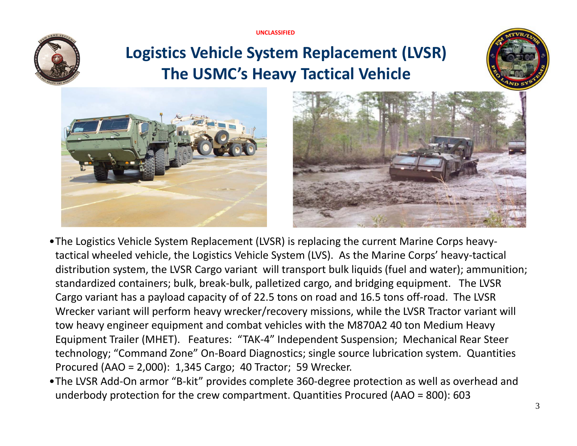**UNCLASSIFIED**



## **Logistics Vehicle System Replacement (LVSR) The USMC's Heavy Tactical Vehicle**







- •The Logistics Vehicle System Replacement (LVSR) is replacing the current Marine Corps heavy‐ tactical wheeled vehicle, the Logistics Vehicle System (LVS). As the Marine Corps' heavy‐tactical distribution system, the LVSR Cargo variant will transport bulk liquids (fuel and water); ammunition; standardized containers; bulk, break‐bulk, palletized cargo, and bridging equipment. The LVSR Cargo variant has <sup>a</sup> payload capacity of of 22.5 tons on road and 16.5 tons off‐road. The LVSR Wrecker variant will perform heavy wrecker/recovery missions, while the LVSR Tractor variant will tow heavy engineer equipment and combat vehicles with the M870A2 40 ton Medium Heavy Equipment Trailer (MHET). Features: "TAK‐4" Independent Suspension; Mechanical Rear Steer technology; "Command Zone" On‐Board Diagnostics; single source lubrication system. Quantities Procured (AAO <sup>=</sup> 2,000): 1,345 Cargo; 40 Tractor; 59 Wrecker.
- •The LVSR Add‐On armor "B‐kit" provides complete 360‐degree protection as well as overhead and underbody protection for the crew compartment. Quantities Procured (AAO <sup>=</sup> 800): 603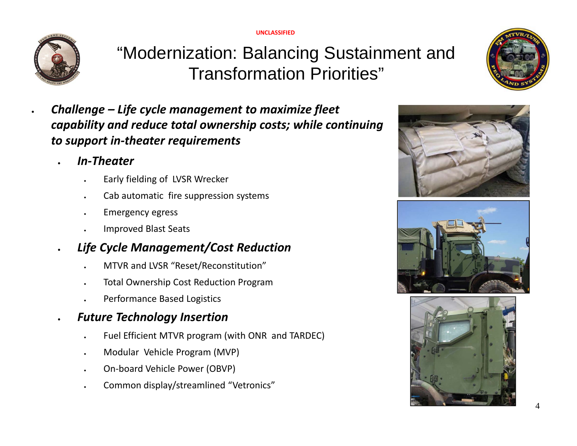**UNCLASSIFIED**



.

.

"Modernization: Balancing Sustainment and Transformation Priorities"



### *In‐Theater*

- Early fielding of LVSR Wrecker
- Cab automatic fire suppression systems
- Emergency egress
- Improved Blast Seats
- . *Life Cycle Management/Cost Reduction*
	- MTVR and LVSR "Reset/Reconstitution"
	- Total Ownership Cost Reduction Program
	- Performance Based Logistics

#### . *Future Technology Insertion*

- Fuel Efficient MTVR program (with ONR and TARDEC)
- Modular Vehicle Program (MVP)
- On‐board Vehicle Power (OBVP)
- . Common display/streamlined "Vetronics"